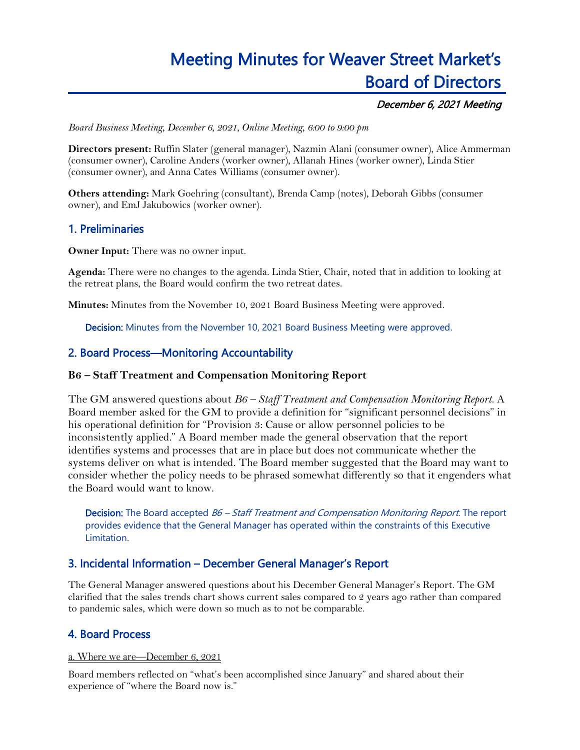# Meeting Minutes for Weaver Street Market's Board of Directors

## December 6, 2021 Meeting

*Board Business Meeting, December 6, 2021, Online Meeting, 6:00 to 9:00 pm*

**Directors present:** Ruffin Slater (general manager), Nazmin Alani (consumer owner), Alice Ammerman (consumer owner), Caroline Anders (worker owner), Allanah Hines (worker owner), Linda Stier (consumer owner), and Anna Cates Williams (consumer owner).

**Others attending:** Mark Goehring (consultant), Brenda Camp (notes), Deborah Gibbs (consumer owner), and EmJ Jakubowics (worker owner).

# 1. Preliminaries

**Owner Input:** There was no owner input.

**Agenda:** There were no changes to the agenda. Linda Stier, Chair, noted that in addition to looking at the retreat plans, the Board would confirm the two retreat dates.

**Minutes:** Minutes from the November 10, 2021 Board Business Meeting were approved.

Decision: Minutes from the November 10, 2021 Board Business Meeting were approved.

## 2. Board Process—Monitoring Accountability

#### **B6 – Staff Treatment and Compensation Monitoring Report**

The GM answered questions about *B6 – Staff Treatment and Compensation Monitoring Report.* A Board member asked for the GM to provide a definition for "significant personnel decisions" in his operational definition for "Provision 3: Cause or allow personnel policies to be inconsistently applied." A Board member made the general observation that the report identifies systems and processes that are in place but does not communicate whether the systems deliver on what is intended. The Board member suggested that the Board may want to consider whether the policy needs to be phrased somewhat differently so that it engenders what the Board would want to know.

Decision: The Board accepted B6 - Staff Treatment and Compensation Monitoring Report. The report provides evidence that the General Manager has operated within the constraints of this Executive Limitation.

## 3. Incidental Information – December General Manager's Report

The General Manager answered questions about his December General Manager's Report. The GM clarified that the sales trends chart shows current sales compared to 2 years ago rather than compared to pandemic sales, which were down so much as to not be comparable.

## 4. Board Process

a. Where we are—December 6, 2021

Board members reflected on "what's been accomplished since January" and shared about their experience of "where the Board now is."